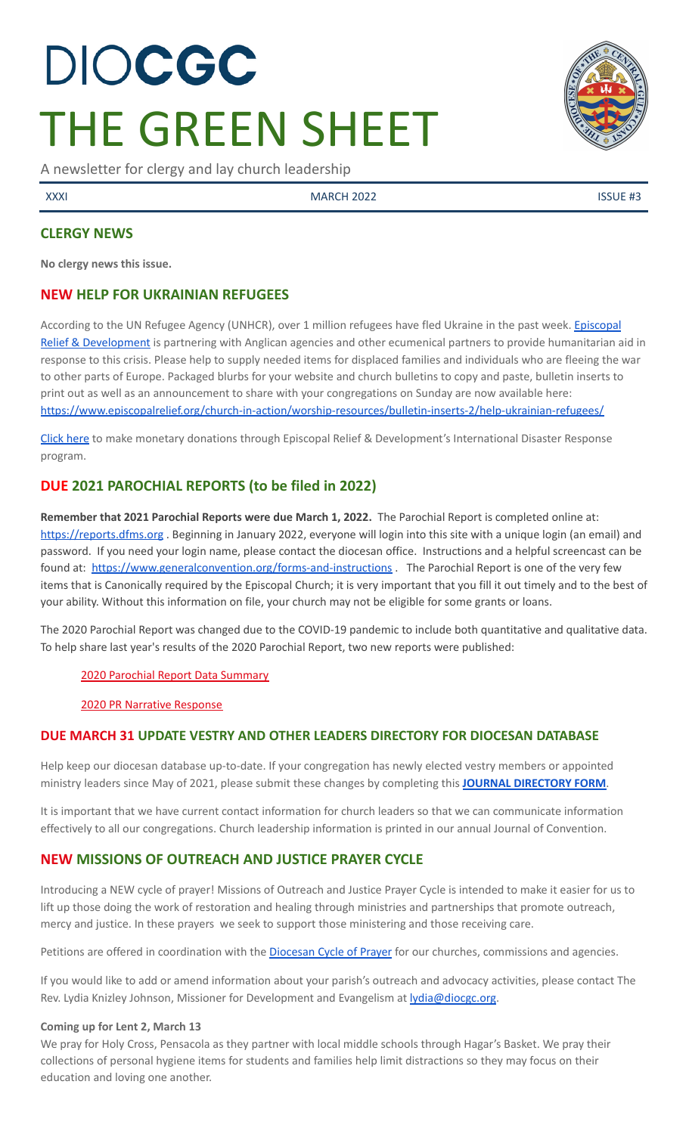# DIOCGC THE GREEN SHEET

A newsletter for clergy and lay church leadership

XXXI MARCH 2022 ISSUE #3

# **CLERGY NEWS**

**No clergy news this issue.**

# **NEW HELP FOR UKRAINIAN REFUGEES**

According to the UN Refugee Agency (UNHCR), over 1 million refugees have fled Ukraine in the past week. [Episcopal](https://www.episcopalrelief.org/) Relief & [Development](https://www.episcopalrelief.org/) is partnering with Anglican agencies and other ecumenical partners to provide humanitarian aid in response to this crisis. Please help to supply needed items for displaced families and individuals who are fleeing the war to other parts of Europe. Packaged blurbs for your website and church bulletins to copy and paste, bulletin inserts to print out as well as an announcement to share with your congregations on Sunday are now available here: <https://www.episcopalrelief.org/church-in-action/worship-resources/bulletin-inserts-2/help-ukrainian-refugees/>

[Click](https://support.episcopalrelief.org/ukraineresponse?ID=220301DWMDS0100&utm_medium=web&utm_campaign=fy22ukraine&utm_source=220301DWMDS0100) here to make monetary donations through Episcopal Relief & Development's International Disaster Response program.

# **DUE 2021 PAROCHIAL REPORTS (to be filed in 2022)**

**Remember that 2021 Parochial Reports were due March 1, 2022.** The Parochial Report is completed online at: <https://reports.dfms.org> . Beginning in January 2022, everyone will login into this site with a unique login (an email) and password. If you need your login name, please contact the diocesan office. Instructions and a helpful screencast can be found at: <https://www.generalconvention.org/forms-and-instructions> . The Parochial Report is one of the very few items that is Canonically required by the Episcopal Church; it is very important that you fill it out timely and to the best of your ability. Without this information on file, your church may not be eligible for some grants or loans.

The 2020 Parochial Report was changed due to the COVID-19 pandemic to include both quantitative and qualitative data. To help share last year's results of the 2020 Parochial Report, two new reports were published:

#### 2020 Parochial Report Data [Summary](https://www.generalconvention.org/2020-parochial-data)

#### 2020 PR Narrative [Response](https://www.generalconvention.org/2020-narrative-data)

# **DUE MARCH 31 UPDATE VESTRY AND OTHER LEADERS DIRECTORY FOR DIOCESAN DATABASE**

Help keep our diocesan database up-to-date. If your congregation has newly elected vestry members or appointed ministry leaders since May of 2021, please submit these changes by completing this **JOURNAL [DIRECTORY](https://www.emailmeform.com/builder/form/eji270wUd6T49) FORM**.

It is important that we have current contact information for church leaders so that we can communicate information effectively to all our congregations. Church leadership information is printed in our annual Journal of Convention.

# **NEW MISSIONS OF OUTREACH AND JUSTICE PRAYER CYCLE**

Introducing a NEW cycle of prayer! Missions of Outreach and Justice Prayer Cycle is intended to make it easier for us to lift up those doing the work of restoration and healing through ministries and partnerships that promote outreach, mercy and justice. In these prayers we seek to support those ministering and those receiving care.

Petitions are offered in coordination with the [Diocesan](http://www.diocgc.org/cycle-of-prayer) Cycle of Prayer for our churches, commissions and agencies.

If you would like to add or amend information about your parish's outreach and advocacy activities, please contact The Rev. Lydia Knizley Johnson, Missioner for Development and Evangelism at **lydia@diocgc.org**.

#### **Coming up for Lent 2, March 13**

We pray for Holy Cross, Pensacola as they partner with local middle schools through Hagar's Basket. We pray their collections of personal hygiene items for students and families help limit distractions so they may focus on their education and loving one another.

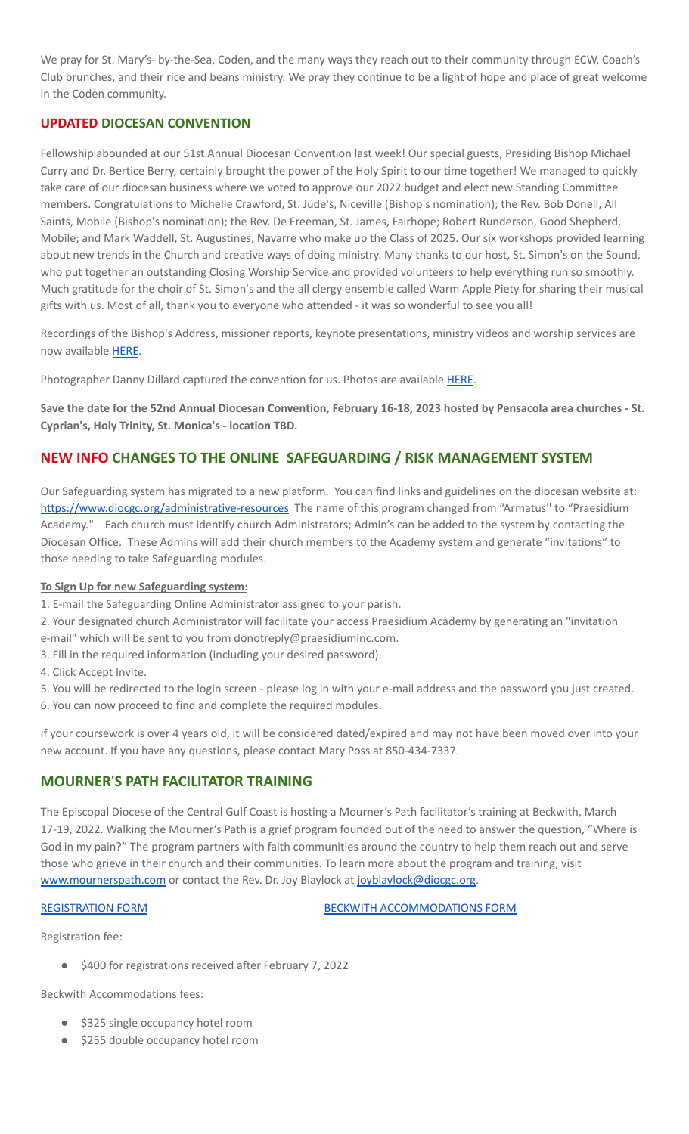We pray for St. Mary's- by-the-Sea, Coden, and the many ways they reach out to their community through ECW, Coach's Club brunches, and their rice and beans ministry. We pray they continue to be a light of hope and place of great welcome in the Coden community.

# **UPDATED DIOCESAN CONVENTION**

Fellowship abounded at our 51st Annual Diocesan Convention last week! Our special guests, Presiding Bishop Michael Curry and Dr. Bertice Berry, certainly brought the power of the Holy Spirit to our time together! We managed to quickly take care of our diocesan business where we voted to approve our 2022 budget and elect new Standing Committee members. Congratulations to Michelle Crawford, St. Jude's, Niceville (Bishop's nomination); the Rev. Bob Donell, All Saints, Mobile (Bishop's nomination); the Rev. De Freeman, St. James, Fairhope; Robert Runderson, Good Shepherd, Mobile; and Mark Waddell, St. Augustines, Navarre who make up the Class of 2025. Our six workshops provided learning about new trends in the Church and creative ways of doing ministry. Many thanks to our host, St. Simon's on the Sound, who put together an outstanding Closing Worship Service and provided volunteers to help everything run so smoothly. Much gratitude for the choir of St. Simon's and the all clergy ensemble called Warm Apple Piety for sharing their musical gifts with us. Most of all, thank you to everyone who attended - it was so wonderful to see you all!

Recordings of the Bishop's Address, missioner reports, keynote presentations, ministry videos and worship services are now available [HERE](https://www.diocgc.org/post/2022-annual-diocesan-convention-summary).

Photographer Danny Dillard captured the convention for us. Photos are available [HERE.](https://dannydillard.shootproof.com/gallery/17635634/home)

Save the date for the 52nd Annual Diocesan Convention, February 16-18, 2023 hosted by Pensacola area churches - St. **Cyprian's, Holy Trinity, St. Monica's - location TBD.**

# **NEW INFO CHANGES TO THE ONLINE SAFEGUARDING / RISK MANAGEMENT SYSTEM**

Our Safeguarding system has migrated to a new platform. You can find links and guidelines on the diocesan website at: <https://www.diocgc.org/administrative-resources> The name of this program changed from "Armatus" to "Praesidium Academy." Each church must identify church Administrators; Admin's can be added to the system by contacting the Diocesan Office. These Admins will add their church members to the Academy system and generate "invitations" to those needing to take Safeguarding modules.

#### **To Sign Up for new Safeguarding system:**

1. E-mail the Safeguarding Online Administrator assigned to your parish.

- 2. Your designated church Administrator will facilitate your access Praesidium Academy by generating an "invitation
- e-mail" which will be sent to you from donotreply@praesidiuminc.com.
- 3. Fill in the required information (including your desired password).
- 4. Click Accept Invite.

5. You will be redirected to the login screen - please log in with your e-mail address and the password you just created. 6. You can now proceed to find and complete the required modules.

If your coursework is over 4 years old, it will be considered dated/expired and may not have been moved over into your new account. If you have any questions, please contact Mary Poss at 850-434-7337.

# **MOURNER'S PATH FACILITATOR TRAINING**

The Episcopal Diocese of the Central Gulf Coast is hosting a Mourner's Path facilitator's training at Beckwith, March 17-19, 2022. Walking the Mourner's Path is a grief program founded out of the need to answer the question, "Where is God in my pain?" The program partners with faith communities around the country to help them reach out and serve those who grieve in their church and their communities. To learn more about the program and training, visit [www.mournerspath.com](http://www.mournerspath.com) or contact the Rev. Dr. Joy Blaylock at [joyblaylock@diocgc.org.](mailto:joyblaylock@diocgc.org)

[REGISTRATION](https://drive.google.com/file/d/1Dt48JlePEscAYYoSU4L_Ks6QRdMZcK_M/view?usp=sharing) FORM BECKWITH [ACCOMMODATIONS](https://events.r20.constantcontact.com/register/eventReg?oeidk=a07eiszh7o61fcdcbbc&oseq=&c=&ch=) FORM

#### Registration fee:

\$400 for registrations received after February 7, 2022

Beckwith Accommodations fees:

- \$325 single occupancy hotel room
- \$255 double occupancy hotel room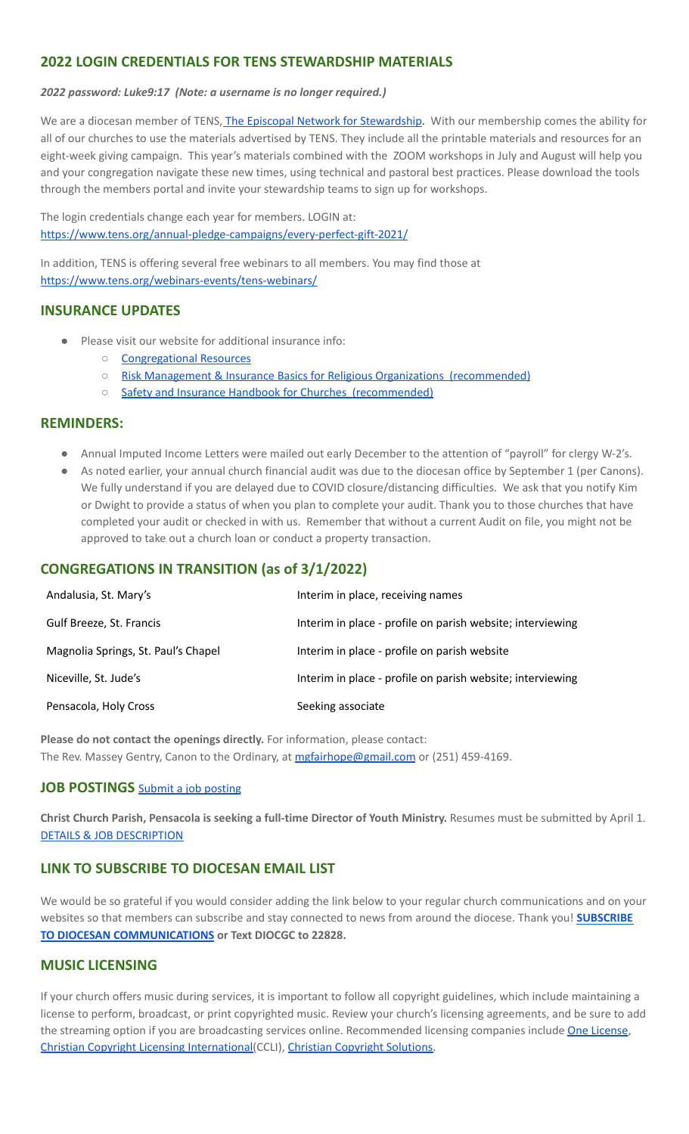# **2022 LOGIN CREDENTIALS FOR TENS STEWARDSHIP MATERIALS**

*2022 password: Luke9:17 (Note: a username is no longer required.)*

We are a diocesan member of TENS, The Episcopal Network for [Stewardship.](https://www.tens.org/) With our membership comes the ability for all of our churches to use the materials advertised by TENS. They include all the printable materials and resources for an eight-week giving campaign. This year's materials combined with the ZOOM workshops in July and August will help you and your congregation navigate these new times, using technical and pastoral best practices. Please download the tools through the members portal and invite your stewardship teams to sign up for workshops.

The login credentials change each year for members. LOGIN at: <https://www.tens.org/annual-pledge-campaigns/every-perfect-gift-2021/>

In addition, TENS is offering several free webinars to all members. You may find those at <https://www.tens.org/webinars-events/tens-webinars/>

# **INSURANCE UPDATES**

- Please visit our website for additional insurance info:
	- [Congregational](http://www.diocgc.org/congregational-resources) Resources
	- Risk Management & Insurance Basics for Religious Organizations [\(recommended\)](https://2f23db9c-81c0-437f-88c1-0d3b99fdb03d.filesusr.com/ugd/ca270f_0fc945a39bad470191c4075c97602c08.pdf)
		- Safety and Insurance Handbook for Churches [\(recommended\)](https://2f23db9c-81c0-437f-88c1-0d3b99fdb03d.filesusr.com/ugd/4525a9_6b89020a60b040f49e2f7feb44b56873.pdf)

#### **REMINDERS:**

- Annual Imputed Income Letters were mailed out early December to the attention of "payroll" for clergy W-2's.
- As noted earlier, your annual church financial audit was due to the diocesan office by September 1 (per Canons). We fully understand if you are delayed due to COVID closure/distancing difficulties. We ask that you notify Kim or Dwight to provide a status of when you plan to complete your audit. Thank you to those churches that have completed your audit or checked in with us. Remember that without a current Audit on file, you might not be approved to take out a church loan or conduct a property transaction.

# **CONGREGATIONS IN TRANSITION (as of 3/1/2022)**

| Andalusia, St. Mary's               | Interim in place, receiving names                          |
|-------------------------------------|------------------------------------------------------------|
| Gulf Breeze, St. Francis            | Interim in place - profile on parish website; interviewing |
| Magnolia Springs, St. Paul's Chapel | Interim in place - profile on parish website               |
| Niceville, St. Jude's               | Interim in place - profile on parish website; interviewing |
| Pensacola, Holy Cross               | Seeking associate                                          |

**Please do not contact the openings directly.** For information, please contact: The Rev. Massey Gentry, Canon to the Ordinary, at [mgfairhope@gmail.com](mailto:mgfairhope@gmail.com) or (251) 459-4169.

# **JOB POSTINGS** Submit a job [posting](https://www.emailmeform.com/builder/form/0cZqC653GdH24p01aWQDfUh)

**Christ Church Parish, Pensacola is seeking a full-time Director of Youth Ministry.** Resumes must be submitted by April 1. DETAILS & JOB [DESCRIPTION](https://christ-church.net/wp-content/uploads/2022/02/Director-of-Youth-Ministry.pdf)

# **LINK TO SUBSCRIBE TO DIOCESAN EMAIL LIST**

We would be so grateful if you would consider adding the link below to your regular church communications and on your websites so that members can subscribe and stay connected to news from around the diocese. Thank you! **[SUBSCRIBE](https://visitor.r20.constantcontact.com/manage/optin?v=001ytzJgXCdPi7CMeRPYjkgWfph8ra8dQJmJ_jgoEJDuFPyjC3HarXiwlhH4JN80K9kNItCddcGgXt-VrglBC4Vvq3YhpG1ym5vnWRlozzk8WJwXJycFplGhx-zzZ96rxkiXY6YLv6vWkWPagBVarHUDKt3SmSUagqj) TO DIOCESAN [COMMUNICATIONS](https://visitor.r20.constantcontact.com/manage/optin?v=001ytzJgXCdPi7CMeRPYjkgWfph8ra8dQJmJ_jgoEJDuFPyjC3HarXiwlhH4JN80K9kNItCddcGgXt-VrglBC4Vvq3YhpG1ym5vnWRlozzk8WJwXJycFplGhx-zzZ96rxkiXY6YLv6vWkWPagBVarHUDKt3SmSUagqj) or Text DIOCGC to 22828.**

#### **MUSIC LICENSING**

If your church offers music during services, it is important to follow all copyright guidelines, which include maintaining a license to perform, broadcast, or print copyrighted music. Review your church's licensing agreements, and be sure to add the streaming option if you are broadcasting services online. Recommended licensing companies include One [License](https://onelicense.net/), Christian Copyright Licensing [International\(](https://us.ccli.com/)CCLI), Christian [Copyright](https://christiancopyrightsolutions.com/) Solutions.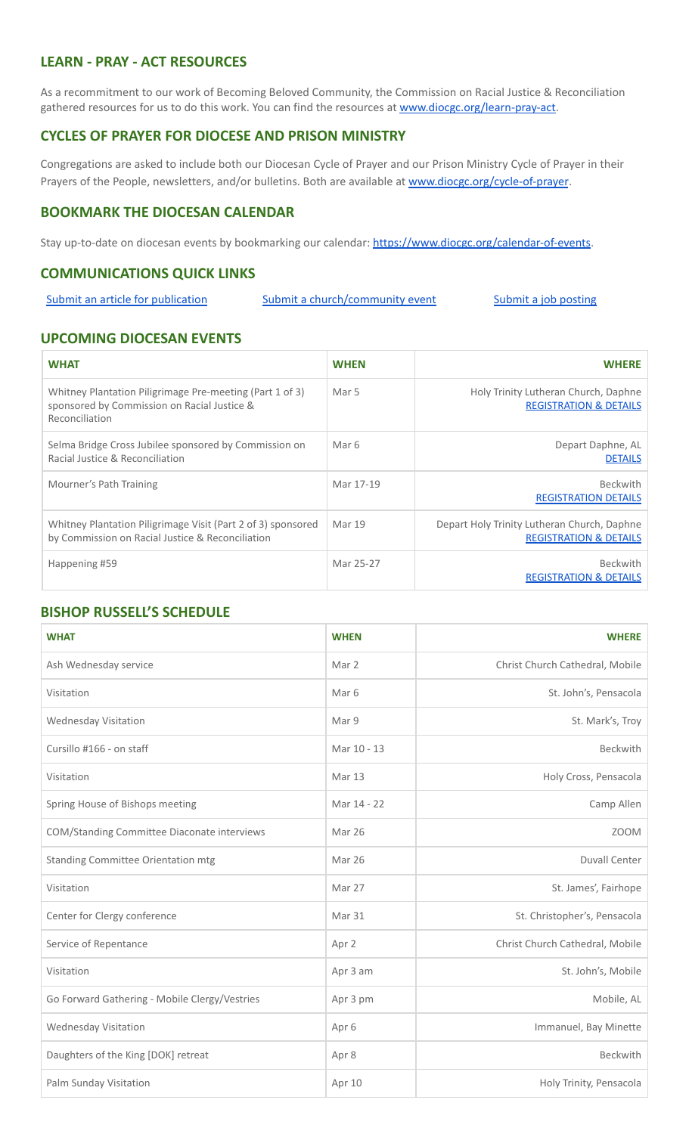# **LEARN - PRAY - ACT RESOURCES**

As a recommitment to our work of Becoming Beloved Community, the Commission on Racial Justice & Reconciliation gathered resources for us to do this work. You can find the resources at [www.diocgc.org/learn-pray-act.](http://www.diocgcorg/learn-pray-act)

#### **CYCLES OF PRAYER FOR DIOCESE AND PRISON MINISTRY**

Congregations are asked to include both our Diocesan Cycle of Prayer and our Prison Ministry Cycle of Prayer in their Prayers of the People, newsletters, and/or bulletins. Both are available at [www.diocgc.org/cycle-of-prayer](http://www.diocgc.org/cycle-of-prayer).

#### **BOOKMARK THE DIOCESAN CALENDAR**

Stay up-to-date on diocesan events by bookmarking our calendar: [https://www.diocgc.org/calendar-of-events.](https://www.diocgc.org/calendar-of-events)

# **COMMUNICATIONS QUICK LINKS**

Submit an article for [publication](http://www.emailmeform.com/builder/form/XqOP984Ae60c8m6ynr) Submit a [church/community](http://www.emailmeform.com/builder/form/eOM4Bb6VTb78y20Wrapf8) event Submit a job [posting](https://www.emailmeform.com/builder/form/0cZqC653GdH24p01aWQDfUh)

#### **UPCOMING DIOCESAN EVENTS**

| <b>WHAT</b>                                                                                                               | <b>WHEN</b> | <b>WHERE</b>                                                                     |
|---------------------------------------------------------------------------------------------------------------------------|-------------|----------------------------------------------------------------------------------|
| Whitney Plantation Piligrimage Pre-meeting (Part 1 of 3)<br>sponsored by Commission on Racial Justice &<br>Reconciliation | Mar 5       | Holy Trinity Lutheran Church, Daphne<br><b>REGISTRATION &amp; DETAILS</b>        |
| Selma Bridge Cross Jubilee sponsored by Commission on<br>Racial Justice & Reconciliation                                  | Mar 6       | Depart Daphne, AL<br><b>DETAILS</b>                                              |
| Mourner's Path Training                                                                                                   | Mar 17-19   | <b>Beckwith</b><br><b>REGISTRATION DETAILS</b>                                   |
| Whitney Plantation Piligrimage Visit (Part 2 of 3) sponsored<br>by Commission on Racial Justice & Reconciliation          | Mar 19      | Depart Holy Trinity Lutheran Church, Daphne<br><b>REGISTRATION &amp; DETAILS</b> |
| Happening #59                                                                                                             | Mar 25-27   | <b>Beckwith</b><br><b>REGISTRATION &amp; DETAILS</b>                             |

# **BISHOP RUSSELL'S SCHEDULE**

| <b>WHAT</b>                                   | <b>WHEN</b>      | <b>WHERE</b>                    |
|-----------------------------------------------|------------------|---------------------------------|
| Ash Wednesday service                         | Mar 2            | Christ Church Cathedral, Mobile |
| Visitation                                    | Mar <sub>6</sub> | St. John's, Pensacola           |
| <b>Wednesday Visitation</b>                   | Mar 9            | St. Mark's, Troy                |
| Cursillo #166 - on staff                      | Mar 10 - 13      | Beckwith                        |
| Visitation                                    | Mar 13           | Holy Cross, Pensacola           |
| Spring House of Bishops meeting               | Mar 14 - 22      | Camp Allen                      |
| COM/Standing Committee Diaconate interviews   | Mar 26           | <b>ZOOM</b>                     |
| <b>Standing Committee Orientation mtg</b>     | Mar 26           | <b>Duvall Center</b>            |
| Visitation                                    | Mar 27           | St. James', Fairhope            |
| Center for Clergy conference                  | Mar 31           | St. Christopher's, Pensacola    |
| Service of Repentance                         | Apr 2            | Christ Church Cathedral, Mobile |
| Visitation                                    | Apr 3 am         | St. John's, Mobile              |
| Go Forward Gathering - Mobile Clergy/Vestries | Apr 3 pm         | Mobile, AL                      |
| Wednesday Visitation                          | Apr 6            | Immanuel, Bay Minette           |
| Daughters of the King [DOK] retreat           | Apr 8            | Beckwith                        |
| Palm Sunday Visitation                        | Apr 10           | Holy Trinity, Pensacola         |